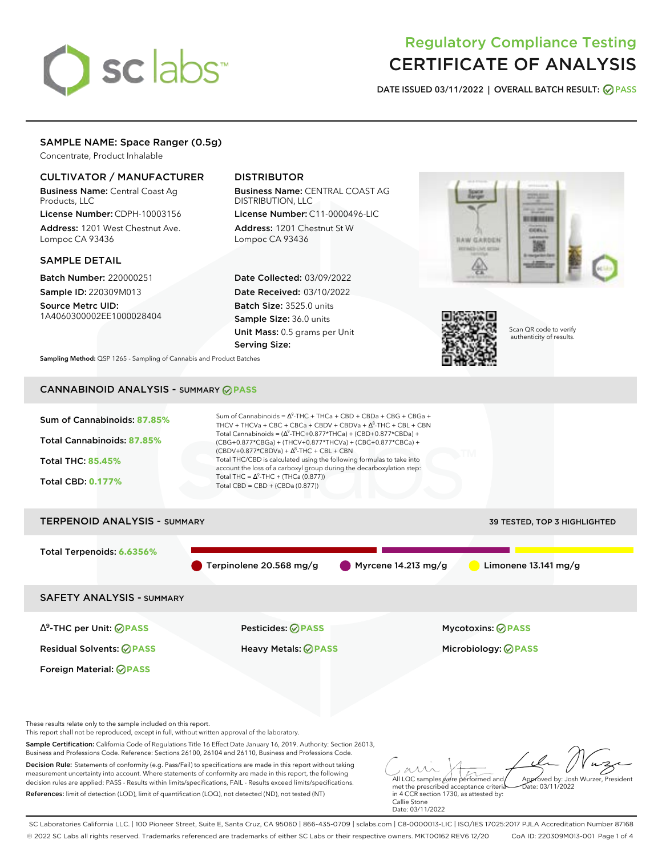# sclabs<sup>\*</sup>

# Regulatory Compliance Testing CERTIFICATE OF ANALYSIS

**DATE ISSUED 03/11/2022 | OVERALL BATCH RESULT: PASS**

# SAMPLE NAME: Space Ranger (0.5g)

Concentrate, Product Inhalable

# CULTIVATOR / MANUFACTURER

Business Name: Central Coast Ag Products, LLC

License Number: CDPH-10003156 Address: 1201 West Chestnut Ave. Lompoc CA 93436

# SAMPLE DETAIL

Batch Number: 220000251 Sample ID: 220309M013

Source Metrc UID: 1A4060300002EE1000028404

# DISTRIBUTOR

Business Name: CENTRAL COAST AG DISTRIBUTION, LLC License Number: C11-0000496-LIC

Address: 1201 Chestnut St W Lompoc CA 93436

Date Collected: 03/09/2022 Date Received: 03/10/2022 Batch Size: 3525.0 units Sample Size: 36.0 units Unit Mass: 0.5 grams per Unit Serving Size:





Scan QR code to verify authenticity of results.

**Sampling Method:** QSP 1265 - Sampling of Cannabis and Product Batches

# CANNABINOID ANALYSIS - SUMMARY **PASS**



References: limit of detection (LOD), limit of quantification (LOQ), not detected (ND), not tested (NT)

met the prescribed acceptance criteria in 4 CCR section 1730, as attested by: Callie Stone Date: 03/11/2022 Date: 03/11/2022

SC Laboratories California LLC. | 100 Pioneer Street, Suite E, Santa Cruz, CA 95060 | 866-435-0709 | sclabs.com | C8-0000013-LIC | ISO/IES 17025:2017 PJLA Accreditation Number 87168 © 2022 SC Labs all rights reserved. Trademarks referenced are trademarks of either SC Labs or their respective owners. MKT00162 REV6 12/20 CoA ID: 220309M013-001 Page 1 of 4